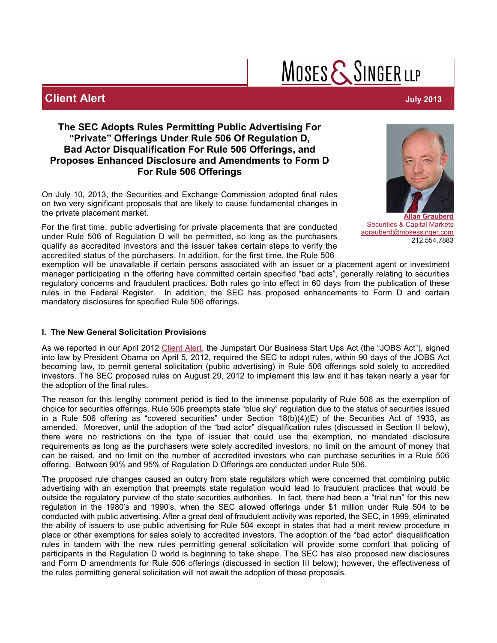# $M$ OSES  $\mathsf{\{S}}$ SINGER LLP

## **Client Alert July 2013**

### **The SEC Adopts Rules Permitting Public Advertising For "Private" Offerings Under Rule 506 Of Regulation D, Bad Actor Disqualification For Rule 506 Offerings, and Proposes Enhanced Disclosure and Amendments to Form D For Rule 506 Offerings**

On July 10, 2013, the Securities and Exchange Commission adopted final rules on two very significant proposals that are likely to cause fundamental changes in the private placement market.

For the first time, public advertising for private placements that are conducted under Rule 506 of Regulation D will be permitted, so long as the purchasers qualify as accredited investors and the issuer takes certain steps to verify the accredited status of the purchasers. In addition, for the first time, the Rule 506



**[Allan Grauberd](http://www.mosessinger.com/attorneys/david-rabinowitz)** Securities & Capital Markets [agrauberd@mosessinger.com](mailto:agrauberd@mosessinger.com) 212.554.7883

exemption will be unavailable if certain persons associated with an issuer or a placement agent or investment manager participating in the offering have committed certain specified "bad acts", generally relating to securities regulatory concerns and fraudulent practices. Both rules go into effect in 60 days from the publication of these rules in the Federal Register. In addition, the SEC has proposed enhancements to Form D and certain mandatory disclosures for specified Rule 506 offerings.

#### **I. The New General Solicitation Provisions**

As we reported in our April 2012 [Client Alert](http://www.mosessinger.com/site/files/jobsactraisingcapital.pdf), the Jumpstart Our Business Start Ups Act (the "JOBS Act"), signed into law by President Obama on April 5, 2012, required the SEC to adopt rules, within 90 days of the JOBS Act becoming law, to permit general solicitation (public advertising) in Rule 506 offerings sold solely to accredited investors. The SEC proposed rules on August 29, 2012 to implement this law and it has taken nearly a year for the adoption of the final rules.

The reason for this lengthy comment period is tied to the immense popularity of Rule 506 as the exemption of choice for securities offerings. Rule 506 preempts state "blue sky" regulation due to the status of securities issued in a Rule 506 offering as "covered securities" under Section 18(b)(4)(E) of the Securities Act of 1933, as amended. Moreover, until the adoption of the "bad actor" disqualification rules (discussed in Section II below), there were no restrictions on the type of issuer that could use the exemption, no mandated disclosure requirements as long as the purchasers were solely accredited investors, no limit on the amount of money that can be raised, and no limit on the number of accredited investors who can purchase securities in a Rule 506 offering. Between 90% and 95% of Regulation D Offerings are conducted under Rule 506.

The proposed rule changes caused an outcry from state regulators which were concerned that combining public advertising with an exemption that preempts state regulation would lead to fraudulent practices that would be outside the regulatory purview of the state securities authorities. In fact, there had been a "trial run" for this new regulation in the 1980's and 1990's, when the SEC allowed offerings under \$1 million under Rule 504 to be conducted with public advertising. After a great deal of fraudulent activity was reported, the SEC, in 1999, eliminated the ability of issuers to use public advertising for Rule 504 except in states that had a merit review procedure in place or other exemptions for sales solely to accredited investors. The adoption of the "bad actor" disqualification rules in tandem with the new rules permitting general solicitation will provide some comfort that policing of participants in the Regulation D world is beginning to take shape. The SEC has also proposed new disclosures and Form D amendments for Rule 506 offerings (discussed in section III below); however, the effectiveness of the rules permitting general solicitation will not await the adoption of these proposals.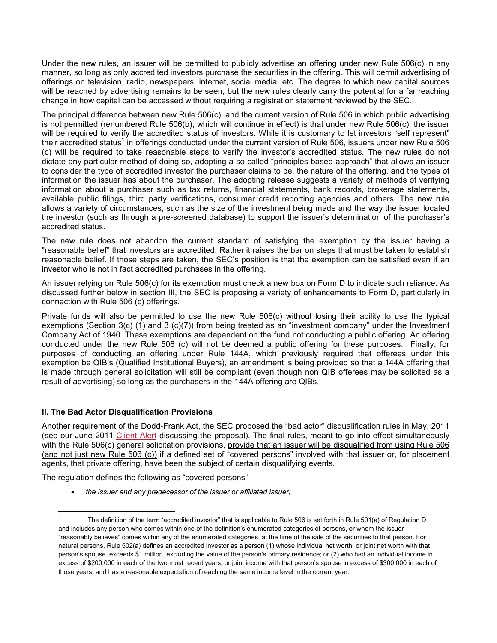Under the new rules, an issuer will be permitted to publicly advertise an offering under new Rule 506(c) in any manner, so long as only accredited investors purchase the securities in the offering. This will permit advertising of offerings on television, radio, newspapers, internet, social media, etc. The degree to which new capital sources will be reached by advertising remains to be seen, but the new rules clearly carry the potential for a far reaching change in how capital can be accessed without requiring a registration statement reviewed by the SEC.

The principal difference between new Rule 506(c), and the current version of Rule 506 in which public advertising is not permitted (renumbered Rule 506(b), which will continue in effect) is that under new Rule 506(c), the issuer will be required to verify the accredited status of investors. While it is customary to let investors "self represent" their accredited status<sup>1</sup> in offerings conducted under the current version of Rule 506, issuers under new Rule 506 (c) will be required to take reasonable steps to verify the investor's accredited status. The new rules do not dictate any particular method of doing so, adopting a so-called "principles based approach" that allows an issuer to consider the type of accredited investor the purchaser claims to be, the nature of the offering, and the types of information the issuer has about the purchaser. The adopting release suggests a variety of methods of verifying information about a purchaser such as tax returns, financial statements, bank records, brokerage statements, available public filings, third party verifications, consumer credit reporting agencies and others. The new rule allows a variety of circumstances, such as the size of the investment being made and the way the issuer located the investor (such as through a pre-screened database) to support the issuer's determination of the purchaser's accredited status.

The new rule does not abandon the current standard of satisfying the exemption by the issuer having a "reasonable belief" that investors are accredited. Rather it raises the bar on steps that must be taken to establish reasonable belief. If those steps are taken, the SEC's position is that the exemption can be satisfied even if an investor who is not in fact accredited purchases in the offering.

An issuer relying on Rule 506(c) for its exemption must check a new box on Form D to indicate such reliance. As discussed further below in section III, the SEC is proposing a variety of enhancements to Form D, particularly in connection with Rule 506 (c) offerings.

Private funds will also be permitted to use the new Rule 506(c) without losing their ability to use the typical exemptions (Section 3(c) (1) and 3 (c)(7)) from being treated as an "investment company" under the Investment Company Act of 1940. These exemptions are dependent on the fund not conducting a public offering. An offering conducted under the new Rule 506 (c) will not be deemed a public offering for these purposes. Finally, for purposes of conducting an offering under Rule 144A, which previously required that offerees under this exemption be QIB's (Qualified Institutional Buyers), an amendment is being provided so that a 144A offering that is made through general solicitation will still be compliant (even though non QIB offerees may be solicited as a result of advertising) so long as the purchasers in the 144A offering are QIBs.

#### **II. The Bad Actor Disqualification Provisions**

 $\overline{a}$ 

Another requirement of the Dodd-Frank Act, the SEC proposed the "bad actor" disqualification rules in May, 2011 (see our June 2011 [Client Alert](http://www.mosessinger.com/site/files/SECBadActorRule506.pdf) discussing the proposal). The final rules, meant to go into effect simultaneously with the Rule 506(c) general solicitation provisions, provide that an issuer will be disqualified from using Rule 506 (and not just new Rule 506 (c)) if a defined set of "covered persons" involved with that issuer or, for placement agents, that private offering, have been the subject of certain disqualifying events.

The regulation defines the following as "covered persons"

*the issuer and any predecessor of the issuer or affiliated issuer;*

<sup>1</sup> The definition of the term "accredited investor" that is applicable to Rule 506 is set forth in Rule 501(a) of Regulation D and includes any person who comes within one of the definition's enumerated categories of persons, or whom the issuer "reasonably believes" comes within any of the enumerated categories, at the time of the sale of the securities to that person. For natural persons, Rule 502(a) defines an accredited investor as a person (1) whose individual net worth, or joint net worth with that person's spouse, exceeds \$1 million, excluding the value of the person's primary residence; or (2) who had an individual income in excess of \$200,000 in each of the two most recent years, or joint income with that person's spouse in excess of \$300,000 in each of those years, and has a reasonable expectation of reaching the same income level in the current year.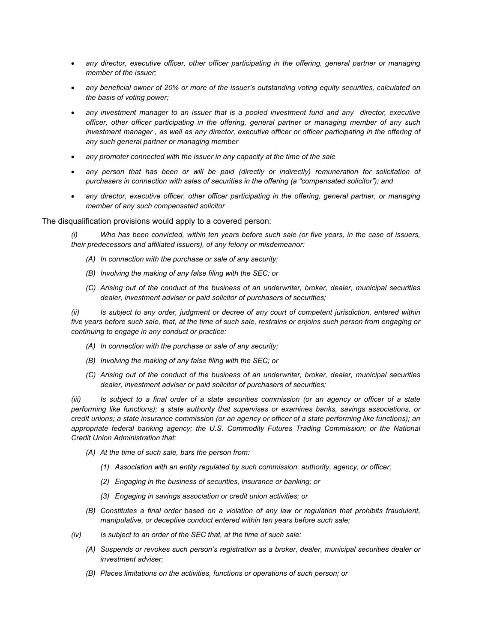- *any director, executive officer, other officer participating in the offering, general partner or managing member of the issuer;*
- *any beneficial owner of 20% or more of the issuer's outstanding voting equity securities, calculated on the basis of voting power;*
- *any investment manager to an issuer that is a pooled investment fund and any director, executive officer, other officer participating in the offering, general partner or managing member of any such investment manager , as well as any director, executive officer or officer participating in the offering of any such general partner or managing member*
- *any promoter connected with the issuer in any capacity at the time of the sale*
- any person that has been or will be paid (directly or indirectly) remuneration for solicitation of *purchasers in connection with sales of securities in the offering (a "compensated solicitor"); and*
- *any director, executive officer, other officer participating in the offering, general partner, or managing member of any such compensated solicitor*

The disqualification provisions would apply to a covered person:

*(i) Who has been convicted, within ten years before such sale (or five years, in the case of issuers, their predecessors and affiliated issuers), of any felony or misdemeanor:*

- *(A) In connection with the purchase or sale of any security;*
- *(B) Involving the making of any false filing with the SEC; or*
- *(C) Arising out of the conduct of the business of an underwriter, broker, dealer, municipal securities dealer, investment adviser or paid solicitor of purchasers of securities;*

*(ii) Is subject to any order, judgment or decree of any court of competent jurisdiction, entered within five years before such sale, that, at the time of such sale, restrains or enjoins such person from engaging or continuing to engage in any conduct or practice:*

- *(A) In connection with the purchase or sale of any security;*
- *(B) Involving the making of any false filing with the SEC; or*
- *(C) Arising out of the conduct of the business of an underwriter, broker, dealer, municipal securities dealer, investment adviser or paid solicitor of purchasers of securities;*

*(iii) Is subject to a final order of a state securities commission (or an agency or officer of a state performing like functions); a state authority that supervises or examines banks, savings associations, or credit unions; a state insurance commission (or an agency or officer of a state performing like functions); an*  appropriate federal banking agency; the U.S. Commodity Futures Trading Commission; or the National *Credit Union Administration that:*

- *(A) At the time of such sale, bars the person from:*
	- *(1) Association with an entity regulated by such commission, authority, agency, or officer;*
	- *(2) Engaging in the business of securities, insurance or banking; or*
	- *(3) Engaging in savings association or credit union activities; or*
- *(B) Constitutes a final order based on a violation of any law or regulation that prohibits fraudulent, manipulative, or deceptive conduct entered within ten years before such sale;*
- *(iv) Is subject to an order of the SEC that, at the time of such sale:*
	- *(A) Suspends or revokes such person's registration as a broker, dealer, municipal securities dealer or investment adviser;*
	- *(B) Places limitations on the activities, functions or operations of such person; or*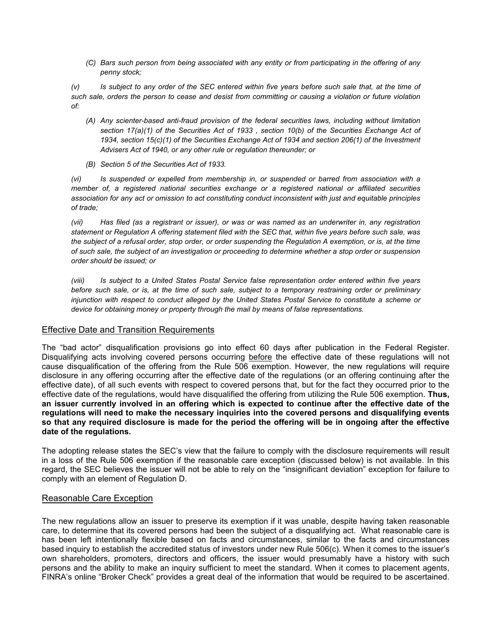*(C) Bars such person from being associated with any entity or from participating in the offering of any penny stock;*

*(v) Is subject to any order of the SEC entered within five years before such sale that, at the time of such sale, orders the person to cease and desist from committing or causing a violation or future violation of:*

- *(A) Any scienter-based anti-fraud provision of the federal securities laws, including without limitation section 17(a)(1) of the Securities Act of 1933 , section 10(b) of the Securities Exchange Act of 1934, section 15(c)(1) of the Securities Exchange Act of 1934 and section 206(1) of the Investment Advisers Act of 1940, or any other rule or regulation thereunder; or*
- *(B) Section 5 of the Securities Act of 1933.*

*(vi) Is suspended or expelled from membership in, or suspended or barred from association with a member of, a registered national securities exchange or a registered national or affiliated securities association for any act or omission to act constituting conduct inconsistent with just and equitable principles of trade;*

*(vii) Has filed (as a registrant or issuer), or was or was named as an underwriter in, any registration statement or Regulation A offering statement filed with the SEC that, within five years before such sale, was the subject of a refusal order, stop order, or order suspending the Regulation A exemption, or is, at the time of such sale, the subject of an investigation or proceeding to determine whether a stop order or suspension order should be issued; or*

*(viii) Is subject to a United States Postal Service false representation order entered within five years before such sale, or is, at the time of such sale, subject to a temporary restraining order or preliminary injunction with respect to conduct alleged by the United States Postal Service to constitute a scheme or device for obtaining money or property through the mail by means of false representations.*

#### Effective Date and Transition Requirements

The "bad actor" disqualification provisions go into effect 60 days after publication in the Federal Register. Disqualifying acts involving covered persons occurring before the effective date of these regulations will not cause disqualification of the offering from the Rule 506 exemption. However, the new regulations will require disclosure in any offering occurring after the effective date of the regulations (or an offering continuing after the effective date), of all such events with respect to covered persons that, but for the fact they occurred prior to the effective date of the regulations, would have disqualified the offering from utilizing the Rule 506 exemption. **Thus, an issuer currently involved in an offering which is expected to continue after the effective date of the regulations will need to make the necessary inquiries into the covered persons and disqualifying events so that any required disclosure is made for the period the offering will be in ongoing after the effective date of the regulations.** 

The adopting release states the SEC's view that the failure to comply with the disclosure requirements will result in a loss of the Rule 506 exemption if the reasonable care exception (discussed below) is not available. In this regard, the SEC believes the issuer will not be able to rely on the "insignificant deviation" exception for failure to comply with an element of Regulation D.

#### Reasonable Care Exception

The new regulations allow an issuer to preserve its exemption if it was unable, despite having taken reasonable care, to determine that its covered persons had been the subject of a disqualifying act. What reasonable care is has been left intentionally flexible based on facts and circumstances, similar to the facts and circumstances based inquiry to establish the accredited status of investors under new Rule 506(c). When it comes to the issuer's own shareholders, promoters, directors and officers, the issuer would presumably have a history with such persons and the ability to make an inquiry sufficient to meet the standard. When it comes to placement agents, FINRA's online "Broker Check" provides a great deal of the information that would be required to be ascertained.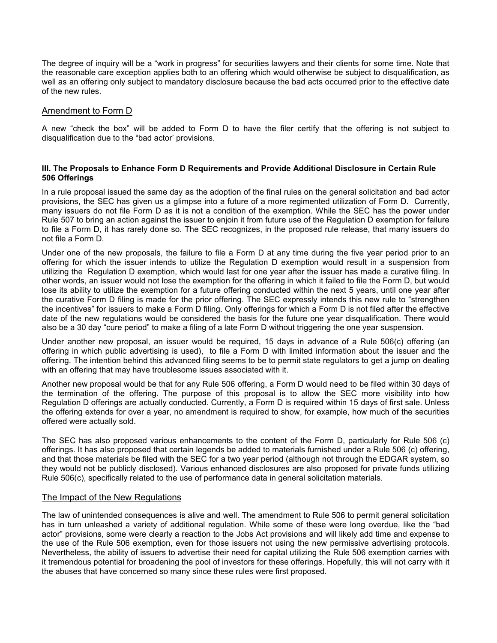The degree of inquiry will be a "work in progress" for securities lawyers and their clients for some time. Note that the reasonable care exception applies both to an offering which would otherwise be subject to disqualification, as well as an offering only subject to mandatory disclosure because the bad acts occurred prior to the effective date of the new rules.

#### Amendment to Form D

A new "check the box" will be added to Form D to have the filer certify that the offering is not subject to disqualification due to the "bad actor' provisions.

#### **III. The Proposals to Enhance Form D Requirements and Provide Additional Disclosure in Certain Rule 506 Offerings**

In a rule proposal issued the same day as the adoption of the final rules on the general solicitation and bad actor provisions, the SEC has given us a glimpse into a future of a more regimented utilization of Form D. Currently, many issuers do not file Form D as it is not a condition of the exemption. While the SEC has the power under Rule 507 to bring an action against the issuer to enjoin it from future use of the Regulation D exemption for failure to file a Form D, it has rarely done so. The SEC recognizes, in the proposed rule release, that many issuers do not file a Form D.

Under one of the new proposals, the failure to file a Form D at any time during the five year period prior to an offering for which the issuer intends to utilize the Regulation D exemption would result in a suspension from utilizing the Regulation D exemption, which would last for one year after the issuer has made a curative filing. In other words, an issuer would not lose the exemption for the offering in which it failed to file the Form D, but would lose its ability to utilize the exemption for a future offering conducted within the next 5 years, until one year after the curative Form D filing is made for the prior offering. The SEC expressly intends this new rule to "strengthen the incentives" for issuers to make a Form D filing. Only offerings for which a Form D is not filed after the effective date of the new regulations would be considered the basis for the future one year disqualification. There would also be a 30 day "cure period" to make a filing of a late Form D without triggering the one year suspension.

Under another new proposal, an issuer would be required, 15 days in advance of a Rule 506(c) offering (an offering in which public advertising is used), to file a Form D with limited information about the issuer and the offering. The intention behind this advanced filing seems to be to permit state regulators to get a jump on dealing with an offering that may have troublesome issues associated with it.

Another new proposal would be that for any Rule 506 offering, a Form D would need to be filed within 30 days of the termination of the offering. The purpose of this proposal is to allow the SEC more visibility into how Regulation D offerings are actually conducted. Currently, a Form D is required within 15 days of first sale. Unless the offering extends for over a year, no amendment is required to show, for example, how much of the securities offered were actually sold.

The SEC has also proposed various enhancements to the content of the Form D, particularly for Rule 506 (c) offerings. It has also proposed that certain legends be added to materials furnished under a Rule 506 (c) offering, and that those materials be filed with the SEC for a two year period (although not through the EDGAR system, so they would not be publicly disclosed). Various enhanced disclosures are also proposed for private funds utilizing Rule 506(c), specifically related to the use of performance data in general solicitation materials.

#### The Impact of the New Regulations

The law of unintended consequences is alive and well. The amendment to Rule 506 to permit general solicitation has in turn unleashed a variety of additional regulation. While some of these were long overdue, like the "bad actor" provisions, some were clearly a reaction to the Jobs Act provisions and will likely add time and expense to the use of the Rule 506 exemption, even for those issuers not using the new permissive advertising protocols. Nevertheless, the ability of issuers to advertise their need for capital utilizing the Rule 506 exemption carries with it tremendous potential for broadening the pool of investors for these offerings. Hopefully, this will not carry with it the abuses that have concerned so many since these rules were first proposed.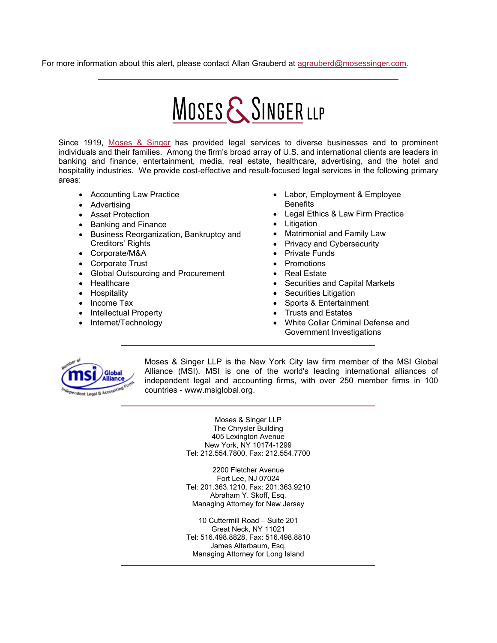For more information about this alert, please contact Allan Grauberd at [agrauberd@mosessinger.com](mailto:agrauberd@mosessinger.com).

# MOSES & SINGER LLP

Since 1919, [Moses & Singer](http://www.mosessinger.com/) has provided legal services to diverse businesses and to prominent individuals and their families. Among the firm's broad array of U.S. and international clients are leaders in banking and finance, entertainment, media, real estate, healthcare, advertising, and the hotel and hospitality industries. We provide cost-effective and result-focused legal services in the following primary areas:

- Accounting Law Practice
- Advertising
- Asset Protection
- Banking and Finance
- Business Reorganization, Bankruptcy and Creditors' Rights
- Corporate/M&A
- Corporate Trust
- Global Outsourcing and Procurement
- Healthcare
- Hospitality
- Income Tax
- Intellectual Property
- Internet/Technology
- Labor, Employment & Employee **Benefits**
- Legal Ethics & Law Firm Practice
- Litigation
- Matrimonial and Family Law
- Privacy and Cybersecurity
- Private Funds
- Promotions
- Real Estate
- Securities and Capital Markets
- Securities Litigation
- Sports & Entertainment
- Trusts and Estates
- White Collar Criminal Defense and Government Investigations



Moses & Singer LLP is the New York City law firm member of the MSI Global Alliance (MSI). MSI is one of the world's leading international alliances of independent legal and accounting firms, with over 250 member firms in 100 countries - [www.msiglobal.org](http://www.msiglobal.org/).

> Moses & Singer LLP The Chrysler Building 405 Lexington Avenue New York, NY 10174-1299 Tel: 212.554.7800, Fax: 212.554.7700

> 2200 Fletcher Avenue Fort Lee, NJ 07024 Tel: 201.363.1210, Fax: 201.363.9210 Abraham Y. Skoff, Esq. Managing Attorney for New Jersey

> 10 Cuttermill Road – Suite 201 Great Neck, NY 11021 Tel: 516.498.8828, Fax: 516.498.8810 James Alterbaum, Esq. Managing Attorney for Long Island